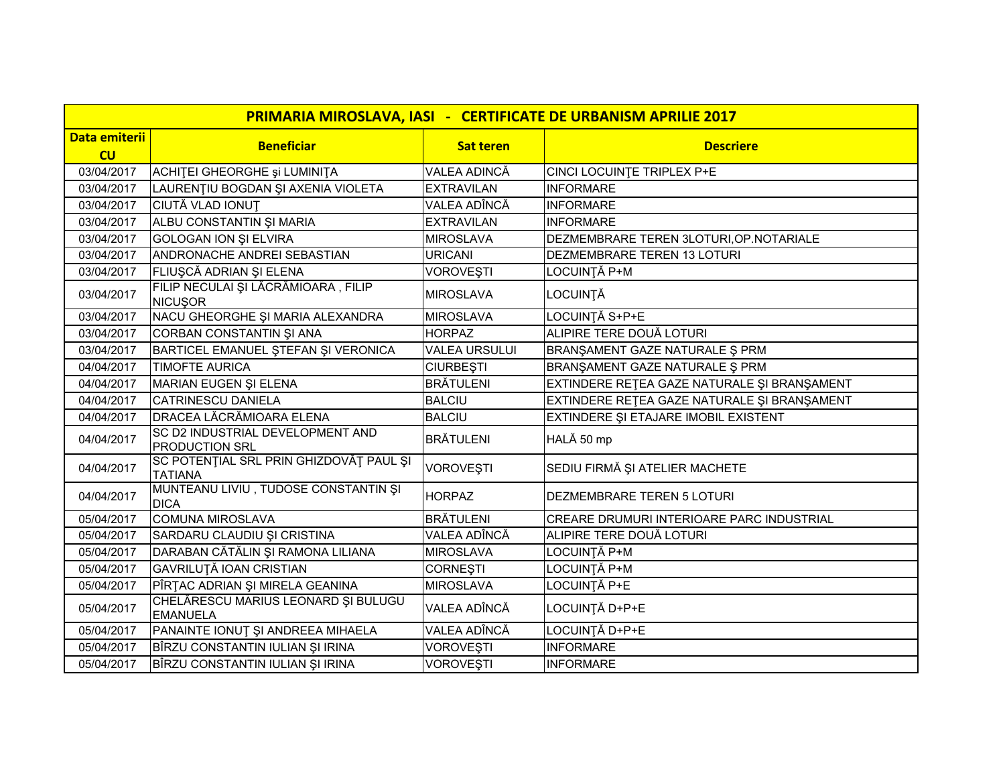| PRIMARIA MIROSLAVA, IASI - CERTIFICATE DE URBANISM APRILIE 2017 |                                                           |                      |                                             |
|-----------------------------------------------------------------|-----------------------------------------------------------|----------------------|---------------------------------------------|
| <b>Data emiterii</b>                                            | <b>Beneficiar</b>                                         | <b>Sat teren</b>     | <b>Descriere</b>                            |
| CU                                                              |                                                           |                      |                                             |
| 03/04/2017                                                      | ACHITEI GHEORGHE și LUMINITA                              | VALEA ADINCĂ         | CINCI LOCUINTE TRIPLEX P+E                  |
| 03/04/2017                                                      | LAURENȚIU BOGDAN ȘI AXENIA VIOLETA                        | <b>EXTRAVILAN</b>    | <b>INFORMARE</b>                            |
| 03/04/2017                                                      | CIUTĂ VLAD IONUȚ                                          | VALEA ADÎNCĂ         | <b>INFORMARE</b>                            |
| 03/04/2017                                                      | ALBU CONSTANTIN ȘI MARIA                                  | <b>EXTRAVILAN</b>    | <b>INFORMARE</b>                            |
| 03/04/2017                                                      | <b>GOLOGAN ION ȘI ELVIRA</b>                              | <b>MIROSLAVA</b>     | DEZMEMBRARE TEREN 3LOTURI, OP. NOTARIALE    |
| 03/04/2017                                                      | ANDRONACHE ANDREI SEBASTIAN                               | <b>URICANI</b>       | DEZMEMBRARE TEREN 13 LOTURI                 |
| 03/04/2017                                                      | FLIUȘCĂ ADRIAN ȘI ELENA                                   | VOROVEȘTI            | LOCUINȚĂ P+M                                |
| 03/04/2017                                                      | FILIP NECULAI ȘI LĂCRĂMIOARA, FILIP<br><b>NICUŞOR</b>     | <b>MIROSLAVA</b>     | LOCUINȚĂ                                    |
| 03/04/2017                                                      | NACU GHEORGHE ȘI MARIA ALEXANDRA                          | <b>MIROSLAVA</b>     | LOCUINȚĂ S+P+E                              |
| 03/04/2017                                                      | CORBAN CONSTANTIN ȘI ANA                                  | <b>HORPAZ</b>        | ALIPIRE TERE DOUĂ LOTURI                    |
| 03/04/2017                                                      | BARTICEL EMANUEL ȘTEFAN ȘI VERONICA                       | <b>VALEA URSULUI</b> | BRANŞAMENT GAZE NATURALE Ş PRM              |
| 04/04/2017                                                      | <b>TIMOFTE AURICA</b>                                     | <b>CIURBEȘTI</b>     | BRANŞAMENT GAZE NATURALE Ş PRM              |
| 04/04/2017                                                      | MARIAN EUGEN ȘI ELENA                                     | <b>BRÄTULENI</b>     | EXTINDERE RETEA GAZE NATURALE ȘI BRANȘAMENT |
| 04/04/2017                                                      | <b>CATRINESCU DANIELA</b>                                 | <b>BALCIU</b>        | EXTINDERE RETEA GAZE NATURALE ȘI BRANȘAMENT |
| 04/04/2017                                                      | DRACEA LĂCRĂMIOARA ELENA                                  | <b>BALCIU</b>        | EXTINDERE ȘI ETAJARE IMOBIL EXISTENT        |
| 04/04/2017                                                      | SC D2 INDUSTRIAL DEVELOPMENT AND<br><b>PRODUCTION SRL</b> | <b>BRÄTULENI</b>     | HALĂ 50 mp                                  |
| 04/04/2017                                                      | SC POTENȚIAL SRL PRIN GHIZDOVĂȚ PAUL ȘI<br><b>TATIANA</b> | <b>VOROVEȘTI</b>     | SEDIU FIRMĂ ȘI ATELIER MACHETE              |
| 04/04/2017                                                      | MUNTEANU LIVIU, TUDOSE CONSTANTIN ȘI<br><b>DICA</b>       | <b>HORPAZ</b>        | <b>DEZMEMBRARE TEREN 5 LOTURI</b>           |
| 05/04/2017                                                      | <b>COMUNA MIROSLAVA</b>                                   | <b>BRÄTULENI</b>     | CREARE DRUMURI INTERIOARE PARC INDUSTRIAL   |
| 05/04/2017                                                      | SARDARU CLAUDIU ȘI CRISTINA                               | VALEA ADÎNCĂ         | ALIPIRE TERE DOUĂ LOTURI                    |
| 05/04/2017                                                      | DARABAN CĂTĂLIN ȘI RAMONA LILIANA                         | <b>MIROSLAVA</b>     | LOCUINȚĂ P+M                                |
| 05/04/2017                                                      | <b>GAVRILUTĂ IOAN CRISTIAN</b>                            | <b>CORNESTI</b>      | LOCUINȚĂ P+M                                |
| 05/04/2017                                                      | PÎRȚAC ADRIAN ȘI MIRELA GEANINA                           | <b>MIROSLAVA</b>     | LOCUINȚĂ P+E                                |
| 05/04/2017                                                      | CHELĂRESCU MARIUS LEONARD ȘI BULUGU<br><b>EMANUELA</b>    | VALEA ADÎNCĂ         | LOCUINȚĂ D+P+E                              |
| 05/04/2017                                                      | PANAINTE IONUȚ ȘI ANDREEA MIHAELA                         | VALEA ADÎNCĂ         | LOCUINȚĂ D+P+E                              |
| 05/04/2017                                                      | BÎRZU CONSTANTIN IULIAN ŞI IRINA                          | VOROVEȘTI            | <b>INFORMARE</b>                            |
| 05/04/2017                                                      | BÎRZU CONSTANTIN IULIAN ŞI IRINA                          | <b>VOROVEŞTI</b>     | <b>INFORMARE</b>                            |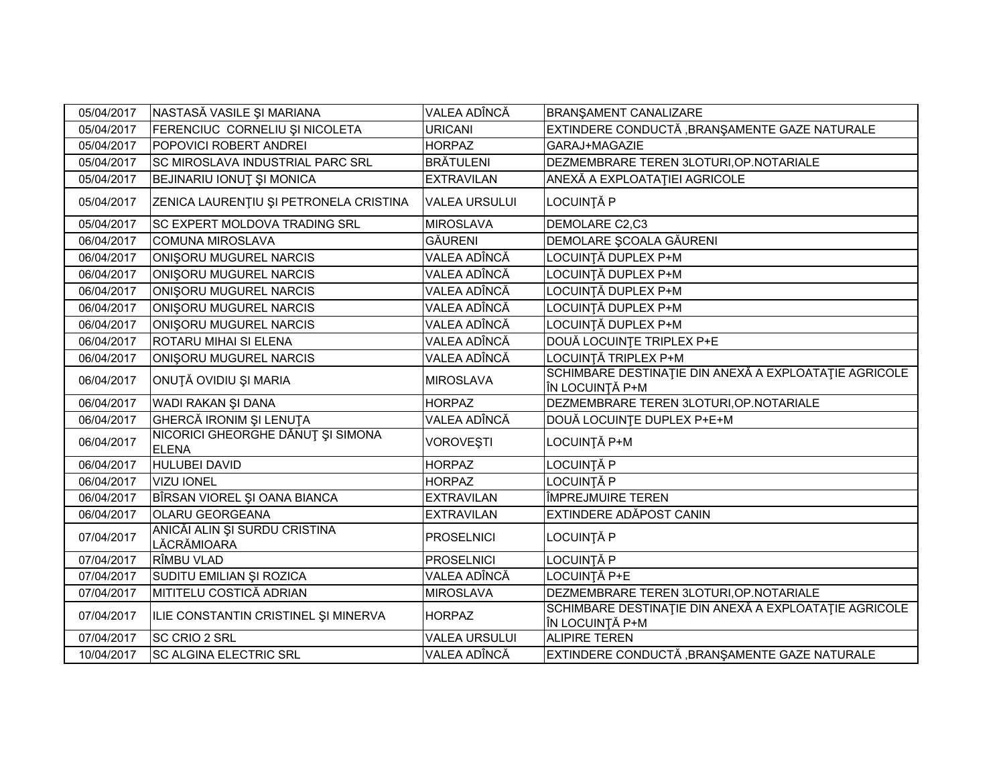| 05/04/2017 | NASTASĂ VASILE ȘI MARIANA                         | VALEA ADÎNCĂ         | BRANŞAMENT CANALIZARE                                                    |
|------------|---------------------------------------------------|----------------------|--------------------------------------------------------------------------|
| 05/04/2017 | FERENCIUC CORNELIU ȘI NICOLETA                    | <b>URICANI</b>       | EXTINDERE CONDUCTĂ, BRANȘAMENTE GAZE NATURALE                            |
| 05/04/2017 | POPOVICI ROBERT ANDREI                            | <b>HORPAZ</b>        | GARAJ+MAGAZIE                                                            |
| 05/04/2017 | SC MIROSLAVA INDUSTRIAL PARC SRL                  | <b>BRÄTULENI</b>     | DEZMEMBRARE TEREN 3LOTURI, OP. NOTARIALE                                 |
| 05/04/2017 | BEJINARIU IONUȚ ȘI MONICA                         | <b>EXTRAVILAN</b>    | ANEXĂ A EXPLOATAȚIEI AGRICOLE                                            |
| 05/04/2017 | ZENICA LAURENȚIU ȘI PETRONELA CRISTINA            | <b>VALEA URSULUI</b> | LOCUINȚĂ P                                                               |
| 05/04/2017 | <b>SC EXPERT MOLDOVA TRADING SRL</b>              | <b>MIROSLAVA</b>     | DEMOLARE C2,C3                                                           |
| 06/04/2017 | <b>COMUNA MIROSLAVA</b>                           | <b>GÄURENI</b>       | DEMOLARE ȘCOALA GĂURENI                                                  |
| 06/04/2017 | ONISORU MUGUREL NARCIS                            | VALEA ADÎNCĂ         | LOCUINȚĂ DUPLEX P+M                                                      |
| 06/04/2017 | <b>ONISORU MUGUREL NARCIS</b>                     | VALEA ADÎNCĂ         | LOCUINȚĂ DUPLEX P+M                                                      |
| 06/04/2017 | <b>ONISORU MUGUREL NARCIS</b>                     | VALEA ADÎNCĂ         | LOCUINȚĂ DUPLEX P+M                                                      |
| 06/04/2017 | ONISORU MUGUREL NARCIS                            | VALEA ADÎNCĂ         | LOCUINȚĂ DUPLEX P+M                                                      |
| 06/04/2017 | ONISORU MUGUREL NARCIS                            | VALEA ADÎNCĂ         | LOCUINTĂ DUPLEX P+M                                                      |
| 06/04/2017 | ROTARU MIHAI SI ELENA                             | VALEA ADÎNCĂ         | DOUĂ LOCUINȚE TRIPLEX P+E                                                |
| 06/04/2017 | ONISORU MUGUREL NARCIS                            | VALEA ADÎNCĂ         | LOCUINȚĂ TRIPLEX P+M                                                     |
| 06/04/2017 | ONUȚĂ OVIDIU ȘI MARIA                             | <b>MIROSLAVA</b>     | SCHIMBARE DESTINAȚIE DIN ANEXĂ A EXPLOATAȚIE AGRICOLE<br>ÎN LOCUINȚĂ P+M |
| 06/04/2017 | WADI RAKAN ŞI DANA                                | <b>HORPAZ</b>        | DEZMEMBRARE TEREN 3LOTURI, OP. NOTARIALE                                 |
| 06/04/2017 | GHERCĂ IRONIM ȘI LENUȚA                           | VALEA ADÎNCĂ         | DOUĂ LOCUINȚE DUPLEX P+E+M                                               |
| 06/04/2017 | NICORICI GHEORGHE DĂNUȚ ȘI SIMONA<br><b>ELENA</b> | <b>VOROVEŞTI</b>     | LOCUINȚĂ P+M                                                             |
| 06/04/2017 | <b>HULUBEI DAVID</b>                              | <b>HORPAZ</b>        | LOCUINȚĂ P                                                               |
| 06/04/2017 | <b>VIZU IONEL</b>                                 | <b>HORPAZ</b>        | LOCUINTĂ P                                                               |
| 06/04/2017 | BÎRSAN VIOREL ȘI OANA BIANCA                      | <b>EXTRAVILAN</b>    | ÎMPREJMUIRE TEREN                                                        |
| 06/04/2017 | OLARU GEORGEANA                                   | <b>EXTRAVILAN</b>    | EXTINDERE ADĂPOST CANIN                                                  |
| 07/04/2017 | ANICĂI ALIN ȘI SURDU CRISTINA<br>LĂCRĂMIOARA      | <b>PROSELNICI</b>    | LOCUINȚĂ P                                                               |
| 07/04/2017 | RÎMBU VLAD                                        | <b>PROSELNICI</b>    | LOCUINȚĂ P                                                               |
| 07/04/2017 | SUDITU EMILIAN ȘI ROZICA                          | VALEA ADÎNCĂ         | LOCUINȚĂ P+E                                                             |
| 07/04/2017 | MITITELU COSTICĂ ADRIAN                           | <b>MIROSLAVA</b>     | DEZMEMBRARE TEREN 3LOTURI, OP. NOTARIALE                                 |
| 07/04/2017 | ILIE CONSTANTIN CRISTINEL ȘI MINERVA              | <b>HORPAZ</b>        | SCHIMBARE DESTINAȚIE DIN ANEXĂ A EXPLOATAȚIE AGRICOLE<br>ÎN LOCUINȚĂ P+M |
| 07/04/2017 | <b>SC CRIO 2 SRL</b>                              | <b>VALEA URSULUI</b> | <b>ALIPIRE TEREN</b>                                                     |
| 10/04/2017 | <b>SC ALGINA ELECTRIC SRL</b>                     | VALEA ADÎNCĂ         | EXTINDERE CONDUCTĂ, BRANȘAMENTE GAZE NATURALE                            |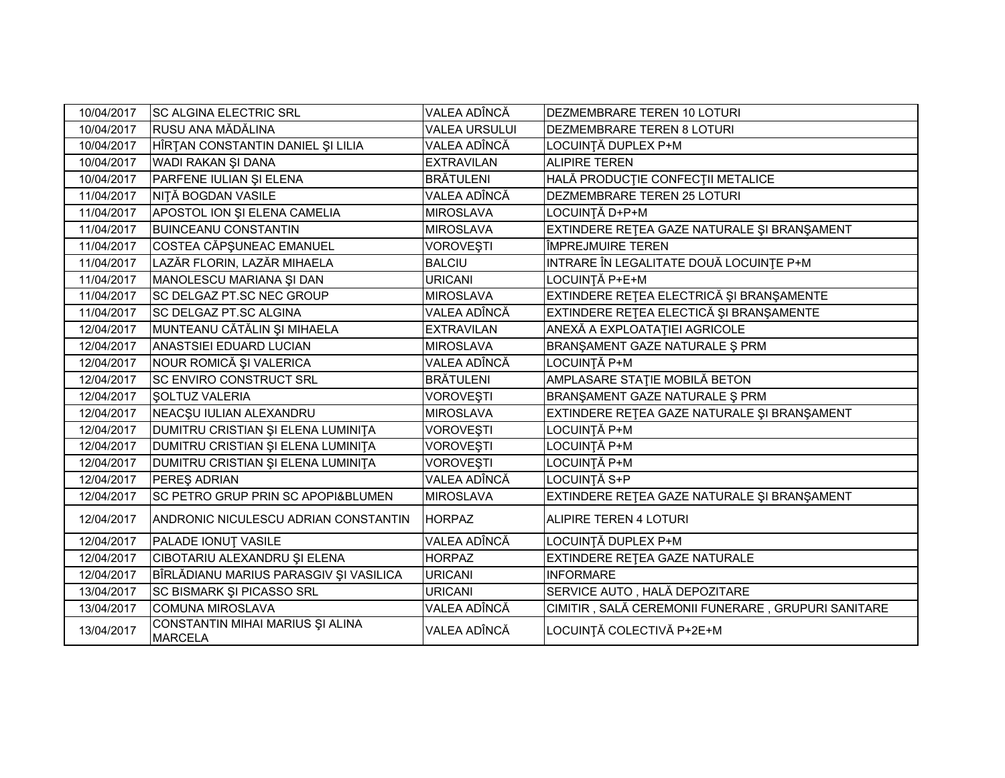| 10/04/2017 | <b>SC ALGINA ELECTRIC SRL</b>                      | VALEA ADÎNCĂ         | DEZMEMBRARE TEREN 10 LOTURI                        |
|------------|----------------------------------------------------|----------------------|----------------------------------------------------|
| 10/04/2017 | RUSU ANA MĂDĂLINA                                  | <b>VALEA URSULUI</b> | DEZMEMBRARE TEREN 8 LOTURI                         |
| 10/04/2017 | HÎRȚAN CONSTANTIN DANIEL ȘI LILIA                  | VALEA ADÎNCĂ         | LOCUINȚĂ DUPLEX P+M                                |
| 10/04/2017 | WADI RAKAN ȘI DANA                                 | <b>EXTRAVILAN</b>    | <b>ALIPIRE TEREN</b>                               |
| 10/04/2017 | PARFENE IULIAN ȘI ELENA                            | <b>BRĂTULENI</b>     | HALĂ PRODUCȚIE CONFECȚII METALICE                  |
| 11/04/2017 | NIȚĂ BOGDAN VASILE                                 | VALEA ADÎNCĂ         | DEZMEMBRARE TEREN 25 LOTURI                        |
| 11/04/2017 | APOSTOL ION ȘI ELENA CAMELIA                       | <b>MIROSLAVA</b>     | LOCUINȚĂ D+P+M                                     |
| 11/04/2017 | <b>BUINCEANU CONSTANTIN</b>                        | <b>MIROSLAVA</b>     | EXTINDERE REȚEA GAZE NATURALE ȘI BRANȘAMENT        |
| 11/04/2017 | COSTEA CĂPȘUNEAC EMANUEL                           | <b>VOROVEȘTI</b>     | ÎMPREJMUIRE TEREN                                  |
| 11/04/2017 | LAZĂR FLORIN, LAZĂR MIHAELA                        | <b>BALCIU</b>        | INTRARE ÎN LEGALITATE DOUĂ LOCUINȚE P+M            |
| 11/04/2017 | MANOLESCU MARIANA ȘI DAN                           | <b>URICANI</b>       | LOCUINȚĂ P+E+M                                     |
| 11/04/2017 | SC DELGAZ PT.SC NEC GROUP                          | <b>MIROSLAVA</b>     | EXTINDERE REȚEA ELECTRICĂ ȘI BRANȘAMENTE           |
| 11/04/2017 | SC DELGAZ PT.SC ALGINA                             | VALEA ADÎNCĂ         | EXTINDERE REȚEA ELECTICĂ ȘI BRANȘAMENTE            |
| 12/04/2017 | MUNTEANU CĂTĂLIN ȘI MIHAELA                        | <b>EXTRAVILAN</b>    | ANEXĂ A EXPLOATAȚIEI AGRICOLE                      |
| 12/04/2017 | ANASTSIEI EDUARD LUCIAN                            | <b>MIROSLAVA</b>     | BRANŞAMENT GAZE NATURALE Ş PRM                     |
| 12/04/2017 | NOUR ROMICĂ ȘI VALERICA                            | VALEA ADÎNCĂ         | LOCUINȚĂ P+M                                       |
| 12/04/2017 | <b>SC ENVIRO CONSTRUCT SRL</b>                     | <b>BRĂTULENI</b>     | AMPLASARE STAȚIE MOBILĂ BETON                      |
| 12/04/2017 | <b>SOLTUZ VALERIA</b>                              | <b>VOROVEȘTI</b>     | BRANŞAMENT GAZE NATURALE Ş PRM                     |
| 12/04/2017 | NEACȘU IULIAN ALEXANDRU                            | <b>MIROSLAVA</b>     | EXTINDERE RETEA GAZE NATURALE ȘI BRANȘAMENT        |
| 12/04/2017 | DUMITRU CRISTIAN ȘI ELENA LUMINIȚA                 | VOROVEȘTI            | LOCUINȚĂ P+M                                       |
| 12/04/2017 | DUMITRU CRISTIAN ȘI ELENA LUMINIȚA                 | <b>VOROVESTI</b>     | LOCUINȚĂ P+M                                       |
| 12/04/2017 | DUMITRU CRISTIAN ȘI ELENA LUMINIȚA                 | VOROVEŞTI            | LOCUINȚĂ P+M                                       |
| 12/04/2017 | PEREŞ ADRIAN                                       | VALEA ADÎNCĂ         | LOCUINȚĂ S+P                                       |
| 12/04/2017 | SC PETRO GRUP PRIN SC APOPI&BLUMEN                 | <b>MIROSLAVA</b>     | EXTINDERE REȚEA GAZE NATURALE ȘI BRANȘAMENT        |
| 12/04/2017 | ANDRONIC NICULESCU ADRIAN CONSTANTIN               | <b>HORPAZ</b>        | <b>ALIPIRE TEREN 4 LOTURI</b>                      |
| 12/04/2017 | PALADE IONUȚ VASILE                                | VALEA ADÎNCĂ         | LOCUINȚĂ DUPLEX P+M                                |
| 12/04/2017 | CIBOTARIU ALEXANDRU ȘI ELENA                       | <b>HORPAZ</b>        | EXTINDERE RETEA GAZE NATURALE                      |
| 12/04/2017 | BÎRLĂDIANU MARIUS PARASGIV ȘI VASILICA             | <b>URICANI</b>       | <b>INFORMARE</b>                                   |
| 13/04/2017 | SC BISMARK ȘI PICASSO SRL                          | <b>URICANI</b>       | SERVICE AUTO, HALĂ DEPOZITARE                      |
| 13/04/2017 | <b>COMUNA MIROSLAVA</b>                            | VALEA ADÎNCĂ         | CIMITIR, SALĂ CEREMONII FUNERARE, GRUPURI SANITARE |
| 13/04/2017 | CONSTANTIN MIHAI MARIUS ȘI ALINA<br><b>MARCELA</b> | VALEA ADÎNCĂ         | LOCUINȚĂ COLECTIVĂ P+2E+M                          |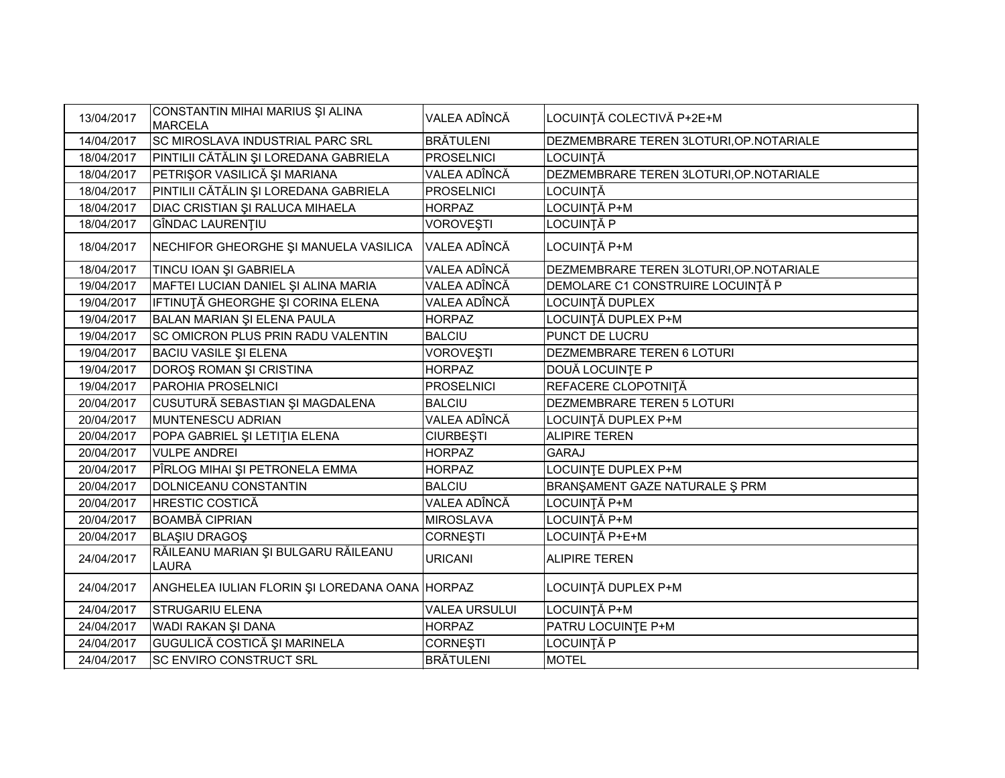| 13/04/2017 | CONSTANTIN MIHAI MARIUS ȘI ALINA<br><b>MARCELA</b>  | VALEA ADÎNCĂ         | LOCUINȚĂ COLECTIVĂ P+2E+M                |
|------------|-----------------------------------------------------|----------------------|------------------------------------------|
| 14/04/2017 | <b>SC MIROSLAVA INDUSTRIAL PARC SRL</b>             | <b>BRÄTULENI</b>     | DEZMEMBRARE TEREN 3LOTURI, OP. NOTARIALE |
| 18/04/2017 | PINTILII CĂTĂLIN ȘI LOREDANA GABRIELA               | <b>PROSELNICI</b>    | LOCUINȚĂ                                 |
| 18/04/2017 | PETRIŞOR VASILICĂ ȘI MARIANA                        | VALEA ADÎNCĂ         | DEZMEMBRARE TEREN 3LOTURI, OP. NOTARIALE |
| 18/04/2017 | PINTILII CĂTĂLIN ȘI LOREDANA GABRIELA               | <b>PROSELNICI</b>    | LOCUINȚĂ                                 |
| 18/04/2017 | DIAC CRISTIAN ȘI RALUCA MIHAELA                     | <b>HORPAZ</b>        | LOCUINȚĂ P+M                             |
| 18/04/2017 | GÎNDAC LAURENȚIU                                    | VOROVEȘTI            | LOCUINȚĂ P                               |
| 18/04/2017 | NECHIFOR GHEORGHE ȘI MANUELA VASILICA               | VALEA ADÎNCĂ         | LOCUINȚĂ P+M                             |
| 18/04/2017 | TINCU IOAN ȘI GABRIELA                              | VALEA ADÎNCĂ         | DEZMEMBRARE TEREN 3LOTURI, OP. NOTARIALE |
| 19/04/2017 | MAFTEI LUCIAN DANIEL ȘI ALINA MARIA                 | VALEA ADÎNCĂ         | DEMOLARE C1 CONSTRUIRE LOCUINȚĂ P        |
| 19/04/2017 | IFTINUȚĂ GHEORGHE ȘI CORINA ELENA                   | VALEA ADÎNCĂ         | LOCUINȚĂ DUPLEX                          |
| 19/04/2017 | BALAN MARIAN ȘI ELENA PAULA                         | <b>HORPAZ</b>        | LOCUINȚĂ DUPLEX P+M                      |
| 19/04/2017 | <b>SC OMICRON PLUS PRIN RADU VALENTIN</b>           | <b>BALCIU</b>        | PUNCT DE LUCRU                           |
| 19/04/2017 | <b>BACIU VASILE ȘI ELENA</b>                        | <b>VOROVEŞTI</b>     | DEZMEMBRARE TEREN 6 LOTURI               |
| 19/04/2017 | DOROȘ ROMAN ȘI CRISTINA                             | <b>HORPAZ</b>        | DOUĂ LOCUINȚE P                          |
| 19/04/2017 | PAROHIA PROSELNICI                                  | <b>PROSELNICI</b>    | REFACERE CLOPOTNIȚĂ                      |
| 20/04/2017 | CUSUTURĂ SEBASTIAN ȘI MAGDALENA                     | <b>BALCIU</b>        | DEZMEMBRARE TEREN 5 LOTURI               |
| 20/04/2017 | MUNTENESCU ADRIAN                                   | VALEA ADÎNCĂ         | LOCUINȚĂ DUPLEX P+M                      |
| 20/04/2017 | POPA GABRIEL ȘI LETIȚIA ELENA                       | <b>CIURBEȘTI</b>     | <b>ALIPIRE TEREN</b>                     |
| 20/04/2017 | <b>VULPE ANDREI</b>                                 | <b>HORPAZ</b>        | <b>GARAJ</b>                             |
| 20/04/2017 | PÎRLOG MIHAI ȘI PETRONELA EMMA                      | <b>HORPAZ</b>        | LOCUINȚE DUPLEX P+M                      |
| 20/04/2017 | DOLNICEANU CONSTANTIN                               | <b>BALCIU</b>        | BRANŞAMENT GAZE NATURALE Ş PRM           |
| 20/04/2017 | <b>HRESTIC COSTICĂ</b>                              | VALEA ADÎNCĂ         | LOCUINȚĂ P+M                             |
| 20/04/2017 | <b>BOAMBĂ CIPRIAN</b>                               | <b>MIROSLAVA</b>     | LOCUINȚĂ P+M                             |
| 20/04/2017 | <b>BLAŞIU DRAGOŞ</b>                                | <b>CORNEȘTI</b>      | _OCUINȚĂ P+E+M                           |
| 24/04/2017 | RĂILEANU MARIAN ȘI BULGARU RĂILEANU<br><b>LAURA</b> | <b>URICANI</b>       | <b>ALIPIRE TEREN</b>                     |
| 24/04/2017 | ANGHELEA IULIAN FLORIN ȘI LOREDANA OANA HORPAZ      |                      | LOCUINȚĂ DUPLEX P+M                      |
| 24/04/2017 | <b>STRUGARIU ELENA</b>                              | <b>VALEA URSULUI</b> | LOCUINȚĂ P+M                             |
| 24/04/2017 | WADI RAKAN ŞI DANA                                  | <b>HORPAZ</b>        | PATRU LOCUINTE P+M                       |
| 24/04/2017 | GUGULICĂ COSTICĂ ȘI MARINELA                        | <b>CORNEȘTI</b>      | OCUINȚĂ P                                |
| 24/04/2017 | <b>SC ENVIRO CONSTRUCT SRL</b>                      | <b>BRÄTULENI</b>     | <b>MOTEL</b>                             |